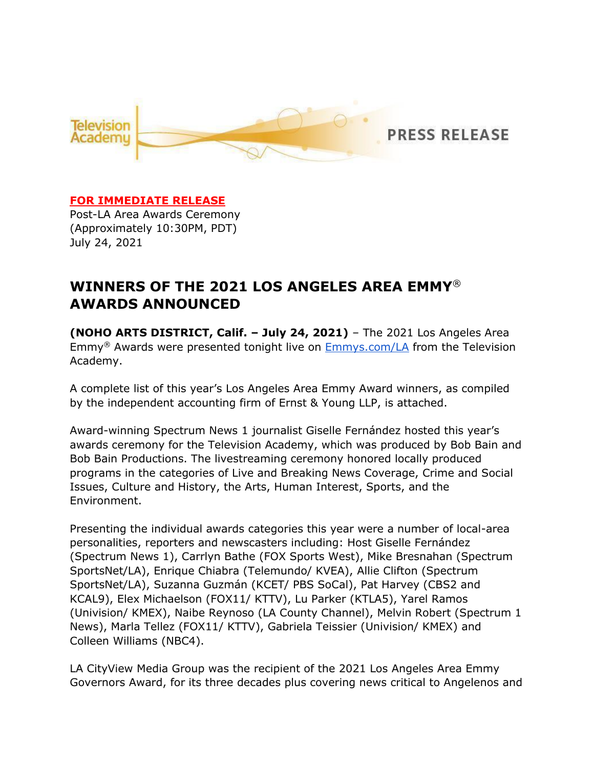

### **FOR IMMEDIATE RELEASE**

Post-LA Area Awards Ceremony (Approximately 10:30PM, PDT) July 24, 2021

# **WINNERS OF THE 2021 LOS ANGELES AREA EMMY**® **AWARDS ANNOUNCED**

**(NOHO ARTS DISTRICT, Calif. – July 24, 2021)** – The 2021 Los Angeles Area Emmy® Awards were presented tonight live on [Emmys.com/LA](https://www.emmys.com/events/73rd-los-angeles-area-emmy-awards) from the Television Academy.

A complete list of this year's Los Angeles Area Emmy Award winners, as compiled by the independent accounting firm of Ernst & Young LLP, is attached.

Award-winning Spectrum News 1 journalist Giselle Fernández hosted this year's awards ceremony for the Television Academy, which was produced by Bob Bain and Bob Bain Productions. The livestreaming ceremony honored locally produced programs in the categories of Live and Breaking News Coverage, Crime and Social Issues, Culture and History, the Arts, Human Interest, Sports, and the Environment.

Presenting the individual awards categories this year were a number of local-area personalities, reporters and newscasters including: Host Giselle Fernández (Spectrum News 1), Carrlyn Bathe (FOX Sports West), Mike Bresnahan (Spectrum SportsNet/LA), Enrique Chiabra (Telemundo/ KVEA), Allie Clifton (Spectrum SportsNet/LA), Suzanna Guzmán (KCET/ PBS SoCal), Pat Harvey (CBS2 and KCAL9), Elex Michaelson (FOX11/ KTTV), Lu Parker (KTLA5), Yarel Ramos (Univision/ KMEX), Naibe Reynoso (LA County Channel), Melvin Robert (Spectrum 1 News), Marla Tellez (FOX11/ KTTV), Gabriela Teissier (Univision/ KMEX) and Colleen Williams (NBC4).

LA CityView Media Group was the recipient of the 2021 Los Angeles Area Emmy Governors Award, for its three decades plus covering news critical to Angelenos and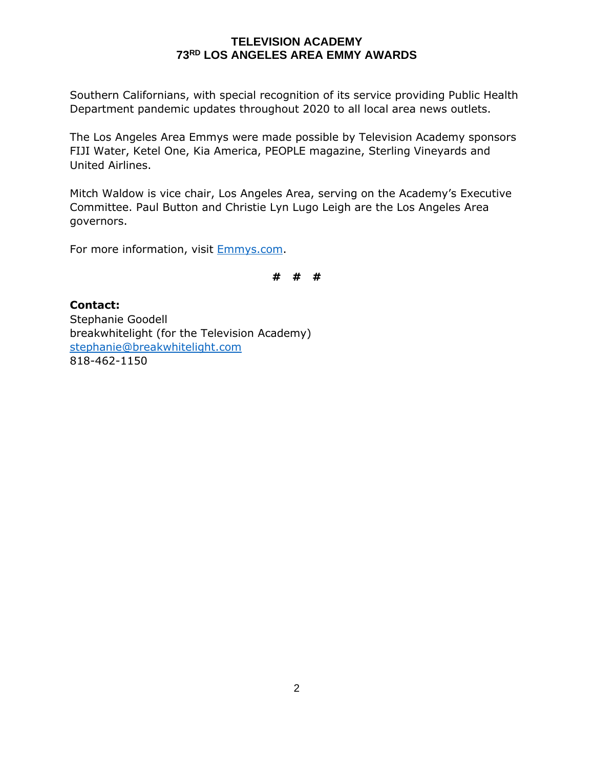Southern Californians, with special recognition of its service providing Public Health Department pandemic updates throughout 2020 to all local area news outlets.

The Los Angeles Area Emmys were made possible by Television Academy sponsors FIJI Water, Ketel One, Kia America, PEOPLE magazine, Sterling Vineyards and United Airlines.

Mitch Waldow is vice chair, Los Angeles Area, serving on the Academy's Executive Committee. Paul Button and Christie Lyn Lugo Leigh are the Los Angeles Area governors.

For more information, visit **Emmys.com**.

**# # #**

**Contact:** Stephanie Goodell breakwhitelight (for the Television Academy) [stephanie@breakwhitelight.com](mailto:stephanie@breakwhitelight.com) 818-462-1150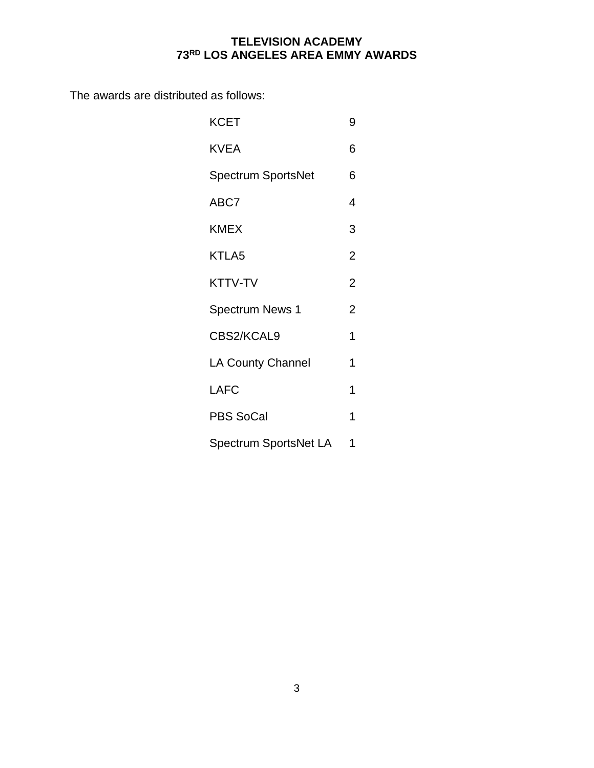The awards are distributed as follows:

| KCET                      | 9              |
|---------------------------|----------------|
| <b>KVEA</b>               | 6              |
| <b>Spectrum SportsNet</b> | 6              |
| ABC7                      | 4              |
| <b>KMEX</b>               | 3              |
| KTLA5                     | 2              |
| <b>KTTV-TV</b>            | 2              |
| <b>Spectrum News 1</b>    | $\overline{2}$ |
| CBS2/KCAL9                | 1              |
| <b>LA County Channel</b>  | 1              |
| <b>LAFC</b>               | 1              |
| <b>PBS SoCal</b>          | 1              |
| Spectrum SportsNet LA     | 1              |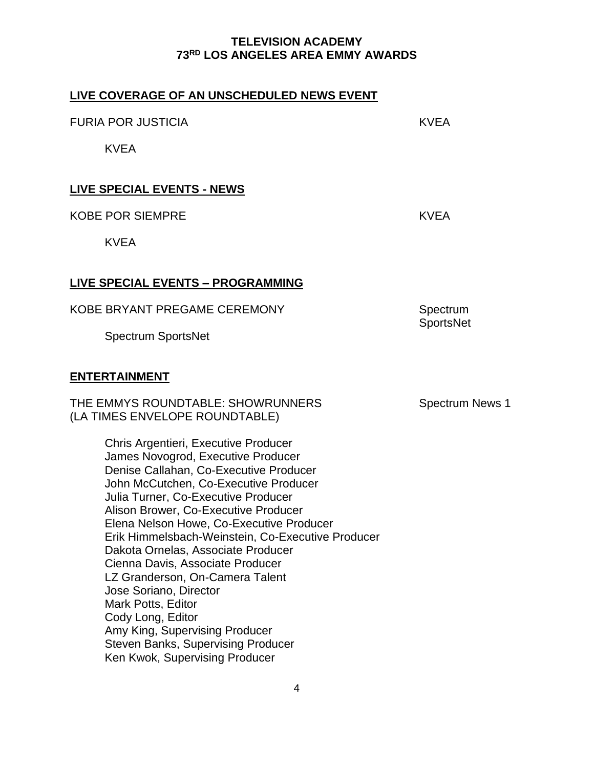| LIVE COVERAGE OF AN UNSCHEDULED NEWS EVENT                                                                                                                                                                                                                                                                                                                                                                                                                                                                                                                                                                                                       |                              |
|--------------------------------------------------------------------------------------------------------------------------------------------------------------------------------------------------------------------------------------------------------------------------------------------------------------------------------------------------------------------------------------------------------------------------------------------------------------------------------------------------------------------------------------------------------------------------------------------------------------------------------------------------|------------------------------|
| <b>FURIA POR JUSTICIA</b>                                                                                                                                                                                                                                                                                                                                                                                                                                                                                                                                                                                                                        | <b>KVEA</b>                  |
| <b>KVEA</b>                                                                                                                                                                                                                                                                                                                                                                                                                                                                                                                                                                                                                                      |                              |
| <b>LIVE SPECIAL EVENTS - NEWS</b>                                                                                                                                                                                                                                                                                                                                                                                                                                                                                                                                                                                                                |                              |
| <b>KOBE POR SIEMPRE</b>                                                                                                                                                                                                                                                                                                                                                                                                                                                                                                                                                                                                                          | <b>KVEA</b>                  |
| <b>KVEA</b>                                                                                                                                                                                                                                                                                                                                                                                                                                                                                                                                                                                                                                      |                              |
| LIVE SPECIAL EVENTS - PROGRAMMING                                                                                                                                                                                                                                                                                                                                                                                                                                                                                                                                                                                                                |                              |
| KOBE BRYANT PREGAME CEREMONY                                                                                                                                                                                                                                                                                                                                                                                                                                                                                                                                                                                                                     | Spectrum<br><b>SportsNet</b> |
| <b>Spectrum SportsNet</b>                                                                                                                                                                                                                                                                                                                                                                                                                                                                                                                                                                                                                        |                              |
| <b>ENTERTAINMENT</b>                                                                                                                                                                                                                                                                                                                                                                                                                                                                                                                                                                                                                             |                              |
| THE EMMYS ROUNDTABLE: SHOWRUNNERS<br>(LA TIMES ENVELOPE ROUNDTABLE)                                                                                                                                                                                                                                                                                                                                                                                                                                                                                                                                                                              | <b>Spectrum News 1</b>       |
| Chris Argentieri, Executive Producer<br>James Novogrod, Executive Producer<br>Denise Callahan, Co-Executive Producer<br>John McCutchen, Co-Executive Producer<br>Julia Turner, Co-Executive Producer<br>Alison Brower, Co-Executive Producer<br>Elena Nelson Howe, Co-Executive Producer<br>Erik Himmelsbach-Weinstein, Co-Executive Producer<br>Dakota Ornelas, Associate Producer<br>Cienna Davis, Associate Producer<br>LZ Granderson, On-Camera Talent<br>Jose Soriano, Director<br>Mark Potts, Editor<br>Cody Long, Editor<br>Amy King, Supervising Producer<br><b>Steven Banks, Supervising Producer</b><br>Ken Kwok, Supervising Producer |                              |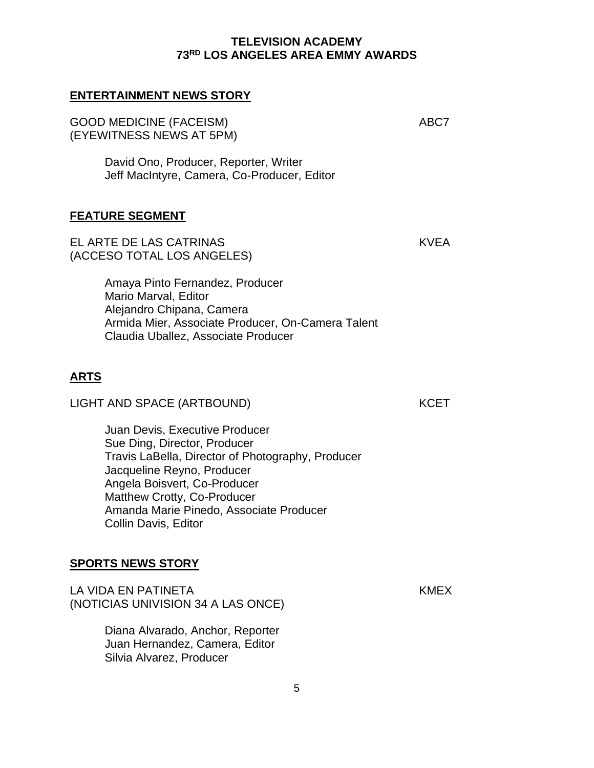5

**ENTERTAINMENT NEWS STORY**

GOOD MEDICINE (FACEISM) ABC7 (EYEWITNESS NEWS AT 5PM)

David Ono, Producer, Reporter, Writer Jeff MacIntyre, Camera, Co-Producer, Editor

#### **FEATURE SEGMENT**

EL ARTE DE LAS CATRINAS TERMINAS TERMINAS EL ARTE DE LAS CATRINAS (ACCESO TOTAL LOS ANGELES)

Amaya Pinto Fernandez, Producer Mario Marval, Editor Alejandro Chipana, Camera Armida Mier, Associate Producer, On-Camera Talent Claudia Uballez, Associate Producer

# **ARTS**

LIGHT AND SPACE (ARTBOUND) KCET

Juan Devis, Executive Producer Sue Ding, Director, Producer Travis LaBella, Director of Photography, Producer Jacqueline Reyno, Producer Angela Boisvert, Co-Producer Matthew Crotty, Co-Producer Amanda Marie Pinedo, Associate Producer Collin Davis, Editor

### **SPORTS NEWS STORY**

LA VIDA EN PATINETA EN EN ENGLISHA KMEXERA KMEXERA EN EN ENGLISHA EN ENGLISHA KMEXERA EN ENGLISHA KMEXERA EN E (NOTICIAS UNIVISION 34 A LAS ONCE)

Diana Alvarado, Anchor, Reporter Juan Hernandez, Camera, Editor Silvia Alvarez, Producer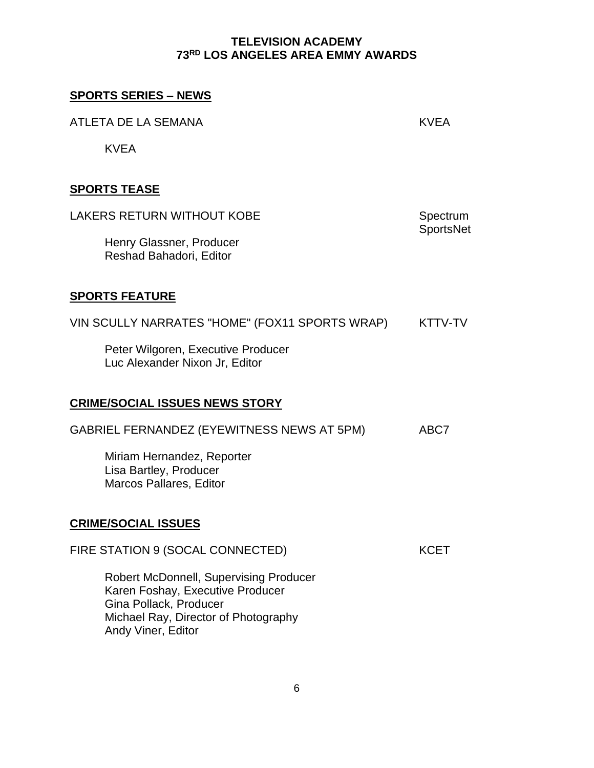# **SPORTS SERIES – NEWS**

ATLETA DE LA SEMANA KVEA

KVEA

# **SPORTS TEASE**

| <b>LAKERS RETURN WITHOUT KOBE</b>                                                                                                                                         | Spectrum         |  |
|---------------------------------------------------------------------------------------------------------------------------------------------------------------------------|------------------|--|
| Henry Glassner, Producer<br>Reshad Bahadori, Editor                                                                                                                       | <b>SportsNet</b> |  |
| <b>SPORTS FEATURE</b>                                                                                                                                                     |                  |  |
| VIN SCULLY NARRATES "HOME" (FOX11 SPORTS WRAP)                                                                                                                            | KTTV-TV          |  |
| Peter Wilgoren, Executive Producer<br>Luc Alexander Nixon Jr, Editor                                                                                                      |                  |  |
| <b>CRIME/SOCIAL ISSUES NEWS STORY</b>                                                                                                                                     |                  |  |
| GABRIEL FERNANDEZ (EYEWITNESS NEWS AT 5PM)                                                                                                                                | ABC7             |  |
| Miriam Hernandez, Reporter<br>Lisa Bartley, Producer<br>Marcos Pallares, Editor                                                                                           |                  |  |
| <b>CRIME/SOCIAL ISSUES</b>                                                                                                                                                |                  |  |
| FIRE STATION 9 (SOCAL CONNECTED)                                                                                                                                          | <b>KCET</b>      |  |
| <b>Robert McDonnell, Supervising Producer</b><br>Karen Foshay, Executive Producer<br>Gina Pollack, Producer<br>Michael Ray, Director of Photography<br>Andy Viner, Editor |                  |  |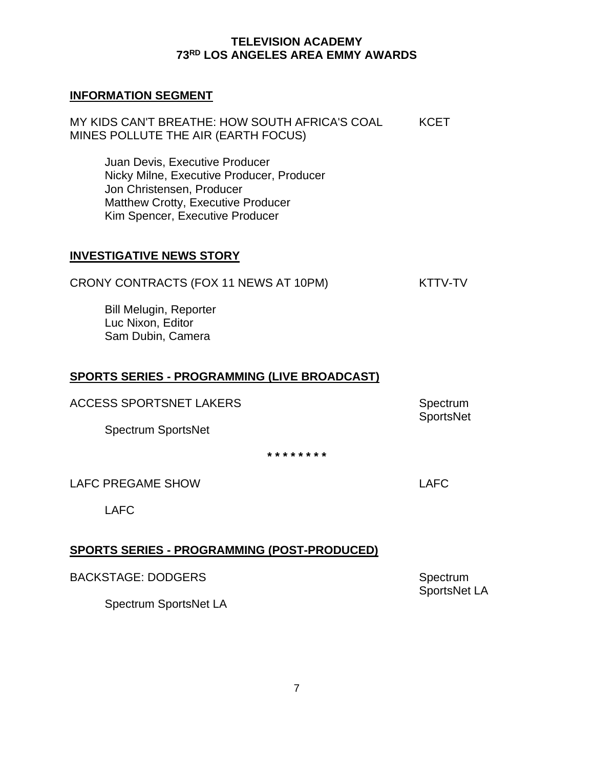### **INFORMATION SEGMENT**

MY KIDS CAN'T BREATHE: HOW SOUTH AFRICA'S COAL KCET MINES POLLUTE THE AIR (EARTH FOCUS)

Juan Devis, Executive Producer Nicky Milne, Executive Producer, Producer Jon Christensen, Producer Matthew Crotty, Executive Producer Kim Spencer, Executive Producer

### **INVESTIGATIVE NEWS STORY**

| CRONY CONTRACTS (FOX 11 NEWS AT 10PM) | KTTV-TV |
|---------------------------------------|---------|
|---------------------------------------|---------|

Bill Melugin, Reporter Luc Nixon, Editor Sam Dubin, Camera

# **SPORTS SERIES - PROGRAMMING (LIVE BROADCAST)**

ACCESS SPORTSNET LAKERS SERVICES SPORTS AND ACCESS SPORTS AND THE RESERVE AND RESERVE ASSESSMENT AND RESERVE A

Spectrum SportsNet

**SportsNet** 

**\* \* \* \* \* \* \* \***

LAFC PREGAME SHOW **LAFC** 2001 2002 2004

LAFC

# **SPORTS SERIES - PROGRAMMING (POST-PRODUCED)**

Spectrum SportsNet LA

Spectrum SportsNet LA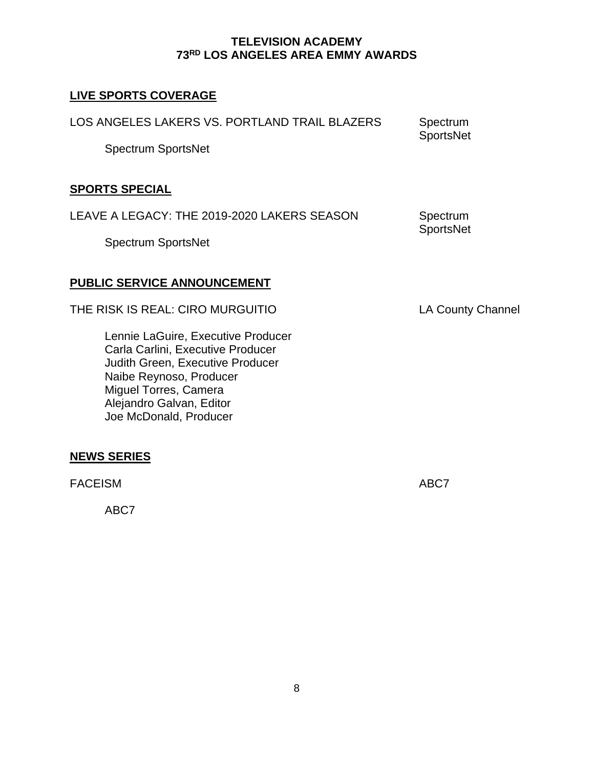# **LIVE SPORTS COVERAGE**

| LOS ANGELES LAKERS VS. PORTLAND TRAIL BLAZERS<br><b>Spectrum SportsNet</b> | Spectrum<br><b>SportsNet</b> |
|----------------------------------------------------------------------------|------------------------------|
| <b>SPORTS SPECIAL</b>                                                      |                              |
| LEAVE A LEGACY: THE 2019-2020 LAKERS SEASON                                | Spectrum<br>SportsNet        |

Spectrum SportsNet

# **PUBLIC SERVICE ANNOUNCEMENT**

THE RISK IS REAL: CIRO MURGUITIO LA County Channel

Lennie LaGuire, Executive Producer Carla Carlini, Executive Producer Judith Green, Executive Producer Naibe Reynoso, Producer Miguel Torres, Camera Alejandro Galvan, Editor Joe McDonald, Producer

# **NEWS SERIES**

FACEISM ABC7

ABC7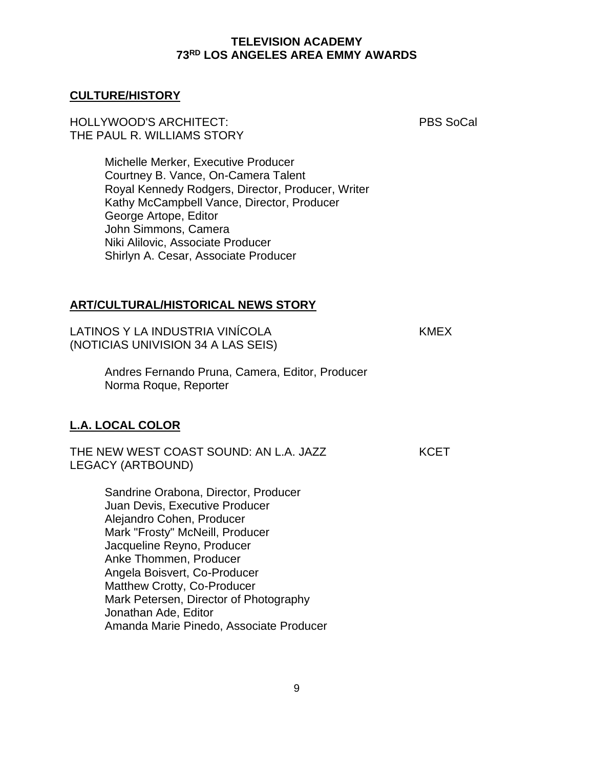### **CULTURE/HISTORY**

### HOLLYWOOD'S ARCHITECT: PBS SoCal THE PAUL R. WILLIAMS STORY

Michelle Merker, Executive Producer Courtney B. Vance, On-Camera Talent Royal Kennedy Rodgers, Director, Producer, Writer Kathy McCampbell Vance, Director, Producer George Artope, Editor John Simmons, Camera Niki Alilovic, Associate Producer Shirlyn A. Cesar, Associate Producer

### **ART/CULTURAL/HISTORICAL NEWS STORY**

LATINOS Y LA INDUSTRIA VINÍCOLA KMEX (NOTICIAS UNIVISION 34 A LAS SEIS)

Andres Fernando Pruna, Camera, Editor, Producer Norma Roque, Reporter

### **L.A. LOCAL COLOR**

THE NEW WEST COAST SOUND: AN L.A. JAZZ KCET LEGACY (ARTBOUND)

Sandrine Orabona, Director, Producer Juan Devis, Executive Producer Alejandro Cohen, Producer Mark "Frosty" McNeill, Producer Jacqueline Reyno, Producer Anke Thommen, Producer Angela Boisvert, Co-Producer Matthew Crotty, Co-Producer Mark Petersen, Director of Photography Jonathan Ade, Editor Amanda Marie Pinedo, Associate Producer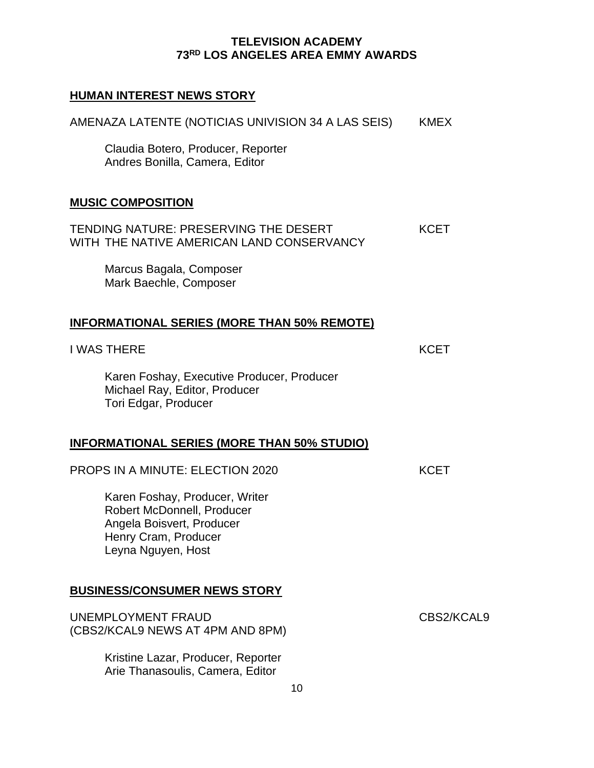# **HUMAN INTEREST NEWS STORY**

| AMENAZA LATENTE (NOTICIAS UNIVISION 34 A LAS SEIS)                                                                                      | KMEX        |
|-----------------------------------------------------------------------------------------------------------------------------------------|-------------|
| Claudia Botero, Producer, Reporter<br>Andres Bonilla, Camera, Editor                                                                    |             |
| <b>MUSIC COMPOSITION</b>                                                                                                                |             |
| TENDING NATURE: PRESERVING THE DESERT<br>WITH THE NATIVE AMERICAN LAND CONSERVANCY                                                      | <b>KCET</b> |
| Marcus Bagala, Composer<br>Mark Baechle, Composer                                                                                       |             |
| <b>INFORMATIONAL SERIES (MORE THAN 50% REMOTE)</b>                                                                                      |             |
| <b>I WAS THERE</b>                                                                                                                      | <b>KCET</b> |
| Karen Foshay, Executive Producer, Producer<br>Michael Ray, Editor, Producer<br>Tori Edgar, Producer                                     |             |
| <b>INFORMATIONAL SERIES (MORE THAN 50% STUDIO)</b>                                                                                      |             |
| <b>PROPS IN A MINUTE: ELECTION 2020</b>                                                                                                 | <b>KCET</b> |
| Karen Foshay, Producer, Writer<br>Robert McDonnell, Producer<br>Angela Boisvert, Producer<br>Henry Cram, Producer<br>Leyna Nguyen, Host |             |
| <b>BUSINESS/CONSUMER NEWS STORY</b>                                                                                                     |             |
| UNEMPLOYMENT FRAUD<br>(CBS2/KCAL9 NEWS AT 4PM AND 8PM)                                                                                  | CBS2/KCAL9  |
| Kristine Lazar, Producer, Reporter<br>Arie Thanasoulis, Camera, Editor                                                                  |             |
| 10                                                                                                                                      |             |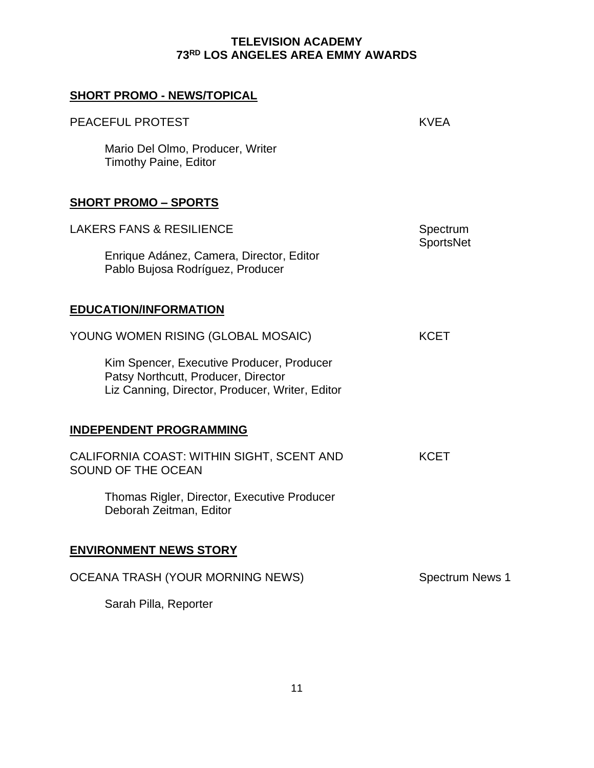| <b>SHORT PROMO - NEWS/TOPICAL</b>                                                                                                   |                        |
|-------------------------------------------------------------------------------------------------------------------------------------|------------------------|
| <b>PEACEFUL PROTEST</b>                                                                                                             | <b>KVEA</b>            |
| Mario Del Olmo, Producer, Writer<br><b>Timothy Paine, Editor</b>                                                                    |                        |
| <b>SHORT PROMO - SPORTS</b>                                                                                                         |                        |
| <b>LAKERS FANS &amp; RESILIENCE</b>                                                                                                 | Spectrum               |
| Enrique Adánez, Camera, Director, Editor<br>Pablo Bujosa Rodríguez, Producer                                                        | <b>SportsNet</b>       |
| <b>EDUCATION/INFORMATION</b>                                                                                                        |                        |
| YOUNG WOMEN RISING (GLOBAL MOSAIC)                                                                                                  | <b>KCET</b>            |
| Kim Spencer, Executive Producer, Producer<br>Patsy Northcutt, Producer, Director<br>Liz Canning, Director, Producer, Writer, Editor |                        |
| <b>INDEPENDENT PROGRAMMING</b>                                                                                                      |                        |
| CALIFORNIA COAST: WITHIN SIGHT, SCENT AND<br>SOUND OF THE OCEAN                                                                     | <b>KCET</b>            |
| Thomas Rigler, Director, Executive Producer<br>Deborah Zeitman, Editor                                                              |                        |
| <b>ENVIRONMENT NEWS STORY</b>                                                                                                       |                        |
| <b>OCEANA TRASH (YOUR MORNING NEWS)</b>                                                                                             | <b>Spectrum News 1</b> |
| Sarah Pilla, Reporter                                                                                                               |                        |